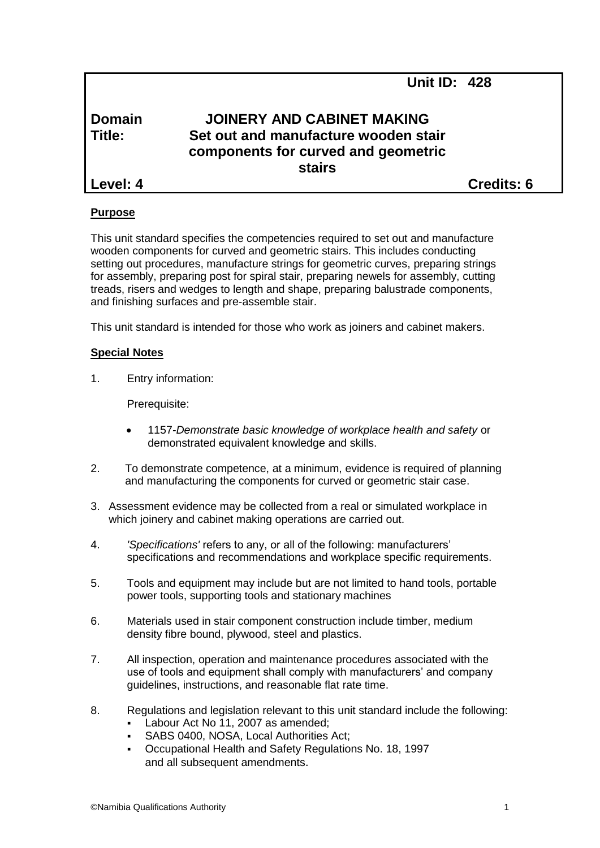| Domain<br>Title: | <b>JOINERY AND CABINET MAKING</b><br>Set out and manufacture wooden stair<br>components for curved and geometric<br><b>stairs</b> |                   |
|------------------|-----------------------------------------------------------------------------------------------------------------------------------|-------------------|
| Level: 4         |                                                                                                                                   | <b>Credits: 6</b> |

**Unit ID: 428**

#### **Purpose**

This unit standard specifies the competencies required to set out and manufacture wooden components for curved and geometric stairs. This includes conducting setting out procedures, manufacture strings for geometric curves, preparing strings for assembly, preparing post for spiral stair, preparing newels for assembly, cutting treads, risers and wedges to length and shape, preparing balustrade components, and finishing surfaces and pre-assemble stair.

This unit standard is intended for those who work as joiners and cabinet makers.

## **Special Notes**

1. Entry information:

Prerequisite:

- 1157*-Demonstrate basic knowledge of workplace health and safety* or demonstrated equivalent knowledge and skills.
- 2. To demonstrate competence, at a minimum, evidence is required of planning and manufacturing the components for curved or geometric stair case.
- 3. Assessment evidence may be collected from a real or simulated workplace in which joinery and cabinet making operations are carried out.
- 4. *'Specifications'* refers to any, or all of the following: manufacturers' specifications and recommendations and workplace specific requirements.
- 5. Tools and equipment may include but are not limited to hand tools, portable power tools, supporting tools and stationary machines
- 6. Materials used in stair component construction include timber, medium density fibre bound, plywood, steel and plastics.
- 7. All inspection, operation and maintenance procedures associated with the use of tools and equipment shall comply with manufacturers' and company guidelines, instructions, and reasonable flat rate time.
- 8. Regulations and legislation relevant to this unit standard include the following:
	- Labour Act No 11, 2007 as amended;
	- SABS 0400, NOSA, Local Authorities Act;
	- Occupational Health and Safety Regulations No. 18, 1997 and all subsequent amendments.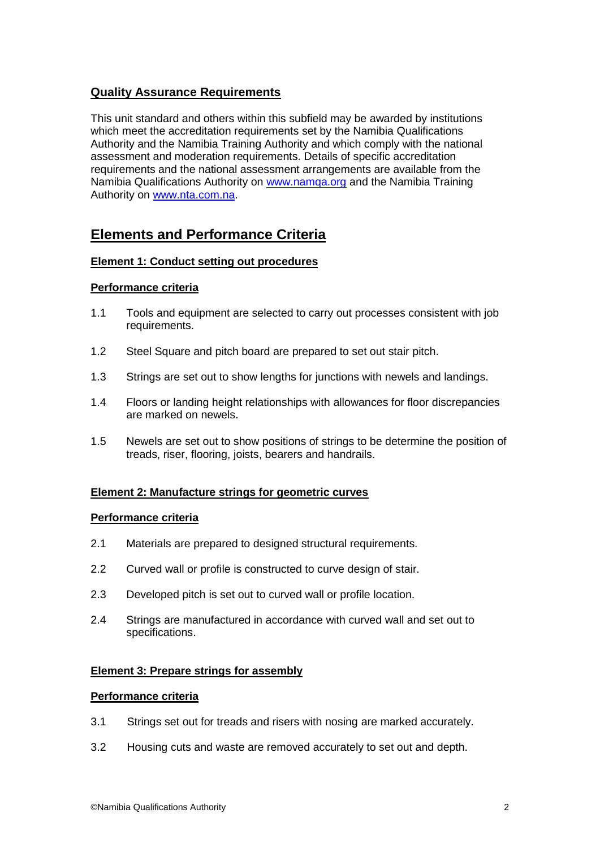# **Quality Assurance Requirements**

This unit standard and others within this subfield may be awarded by institutions which meet the accreditation requirements set by the Namibia Qualifications Authority and the Namibia Training Authority and which comply with the national assessment and moderation requirements. Details of specific accreditation requirements and the national assessment arrangements are available from the Namibia Qualifications Authority on www.namga.org and the Namibia Training Authority on [www.nta.com.na.](http://www.nta.com.na/)

# **Elements and Performance Criteria**

## **Element 1: Conduct setting out procedures**

## **Performance criteria**

- 1.1 Tools and equipment are selected to carry out processes consistent with job requirements.
- 1.2 Steel Square and pitch board are prepared to set out stair pitch.
- 1.3 Strings are set out to show lengths for junctions with newels and landings.
- 1.4 Floors or landing height relationships with allowances for floor discrepancies are marked on newels.
- 1.5 Newels are set out to show positions of strings to be determine the position of treads, riser, flooring, joists, bearers and handrails.

## **Element 2: Manufacture strings for geometric curves**

## **Performance criteria**

- 2.1 Materials are prepared to designed structural requirements.
- 2.2 Curved wall or profile is constructed to curve design of stair.
- 2.3 Developed pitch is set out to curved wall or profile location.
- 2.4 Strings are manufactured in accordance with curved wall and set out to specifications.

## **Element 3: Prepare strings for assembly**

## **Performance criteria**

- 3.1 Strings set out for treads and risers with nosing are marked accurately.
- 3.2 Housing cuts and waste are removed accurately to set out and depth.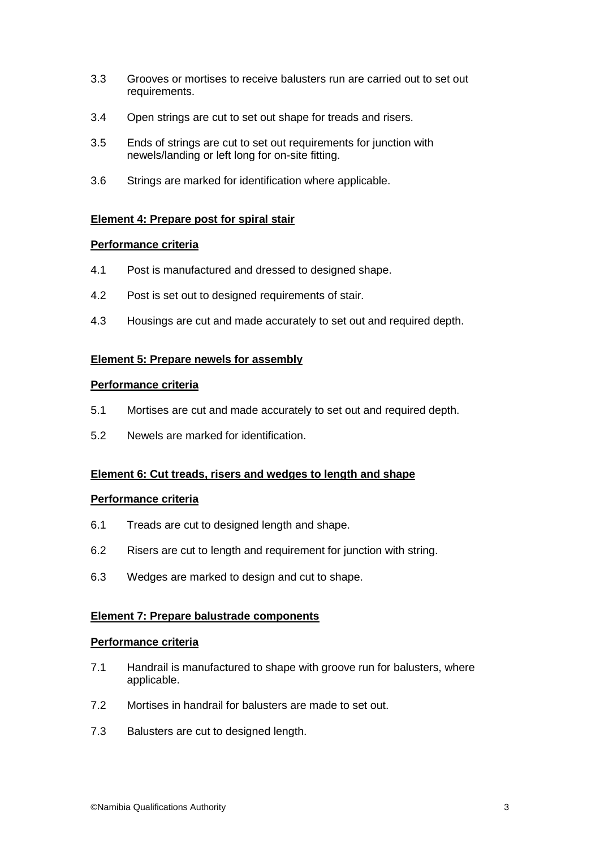- 3.3 Grooves or mortises to receive balusters run are carried out to set out requirements.
- 3.4 Open strings are cut to set out shape for treads and risers.
- 3.5 Ends of strings are cut to set out requirements for junction with newels/landing or left long for on-site fitting.
- 3.6 Strings are marked for identification where applicable.

#### **Element 4: Prepare post for spiral stair**

#### **Performance criteria**

- 4.1 Post is manufactured and dressed to designed shape.
- 4.2 Post is set out to designed requirements of stair.
- 4.3 Housings are cut and made accurately to set out and required depth.

#### **Element 5: Prepare newels for assembly**

#### **Performance criteria**

- 5.1 Mortises are cut and made accurately to set out and required depth.
- 5.2 Newels are marked for identification.

#### **Element 6: Cut treads, risers and wedges to length and shape**

#### **Performance criteria**

- 6.1 Treads are cut to designed length and shape.
- 6.2 Risers are cut to length and requirement for junction with string.
- 6.3 Wedges are marked to design and cut to shape.

#### **Element 7: Prepare balustrade components**

#### **Performance criteria**

- 7.1 Handrail is manufactured to shape with groove run for balusters, where applicable.
- 7.2 Mortises in handrail for balusters are made to set out.
- 7.3 Balusters are cut to designed length.